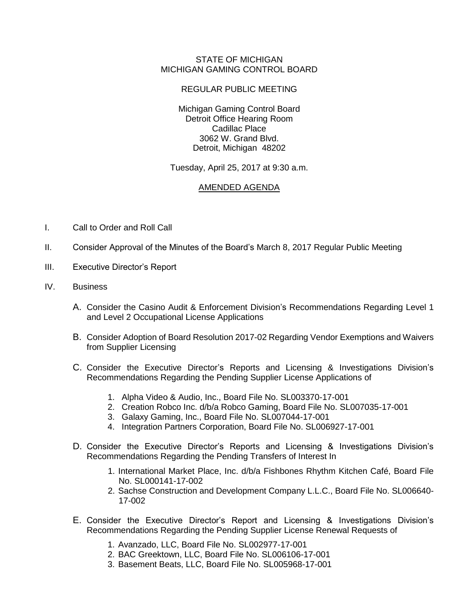## STATE OF MICHIGAN MICHIGAN GAMING CONTROL BOARD

## REGULAR PUBLIC MEETING

Michigan Gaming Control Board Detroit Office Hearing Room Cadillac Place 3062 W. Grand Blvd. Detroit, Michigan 48202

Tuesday, April 25, 2017 at 9:30 a.m.

## AMENDED AGENDA

- I. Call to Order and Roll Call
- II. Consider Approval of the Minutes of the Board's March 8, 2017 Regular Public Meeting
- III. Executive Director's Report
- IV. Business
	- A. Consider the Casino Audit & Enforcement Division's Recommendations Regarding Level 1 and Level 2 Occupational License Applications
	- B. Consider Adoption of Board Resolution 2017-02 Regarding Vendor Exemptions and Waivers from Supplier Licensing
	- C. Consider the Executive Director's Reports and Licensing & Investigations Division's Recommendations Regarding the Pending Supplier License Applications of
		- 1. Alpha Video & Audio, Inc., Board File No. SL003370-17-001
		- 2. Creation Robco Inc. d/b/a Robco Gaming, Board File No. SL007035-17-001
		- 3. Galaxy Gaming, Inc., Board File No. SL007044-17-001
		- 4. Integration Partners Corporation, Board File No. SL006927-17-001
	- D. Consider the Executive Director's Reports and Licensing & Investigations Division's Recommendations Regarding the Pending Transfers of Interest In
		- 1. International Market Place, Inc. d/b/a Fishbones Rhythm Kitchen Café, Board File No. SL000141-17-002
		- 2. Sachse Construction and Development Company L.L.C., Board File No. SL006640- 17-002
	- E. Consider the Executive Director's Report and Licensing & Investigations Division's Recommendations Regarding the Pending Supplier License Renewal Requests of
		- 1. Avanzado, LLC, Board File No. SL002977-17-001
		- 2. BAC Greektown, LLC, Board File No. SL006106-17-001
		- 3. Basement Beats, LLC, Board File No. SL005968-17-001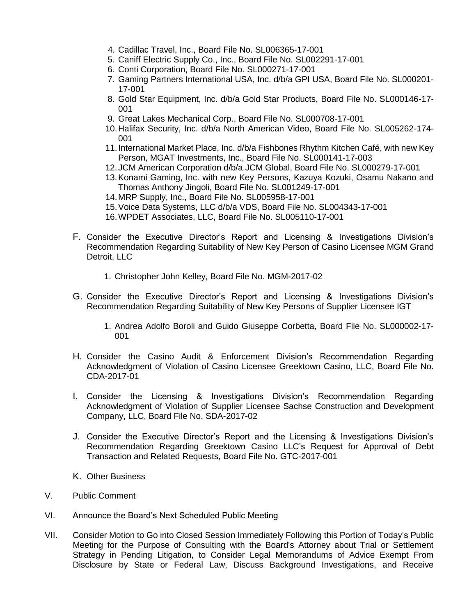- 4. Cadillac Travel, Inc., Board File No. SL006365-17-001
- 5. Caniff Electric Supply Co., Inc., Board File No. SL002291-17-001
- 6. Conti Corporation, Board File No. SL000271-17-001
- 7. Gaming Partners International USA, Inc. d/b/a GPI USA, Board File No. SL000201- 17-001
- 8. Gold Star Equipment, Inc. d/b/a Gold Star Products, Board File No. SL000146-17- 001
- 9. Great Lakes Mechanical Corp., Board File No. SL000708-17-001
- 10.Halifax Security, Inc. d/b/a North American Video, Board File No. SL005262-174- 001
- 11.International Market Place, Inc. d/b/a Fishbones Rhythm Kitchen Café, with new Key Person, MGAT Investments, Inc., Board File No. SL000141-17-003
- 12.JCM American Corporation d/b/a JCM Global, Board File No. SL000279-17-001
- 13.Konami Gaming, Inc. with new Key Persons, Kazuya Kozuki, Osamu Nakano and Thomas Anthony Jingoli, Board File No. SL001249-17-001
- 14.MRP Supply, Inc., Board File No. SL005958-17-001
- 15.Voice Data Systems, LLC d/b/a VDS, Board File No. SL004343-17-001
- 16.WPDET Associates, LLC, Board File No. SL005110-17-001
- F. Consider the Executive Director's Report and Licensing & Investigations Division's Recommendation Regarding Suitability of New Key Person of Casino Licensee MGM Grand Detroit, LLC
	- 1. Christopher John Kelley, Board File No. MGM-2017-02
- G. Consider the Executive Director's Report and Licensing & Investigations Division's Recommendation Regarding Suitability of New Key Persons of Supplier Licensee IGT
	- 1. Andrea Adolfo Boroli and Guido Giuseppe Corbetta, Board File No. SL000002-17- 001
- H. Consider the Casino Audit & Enforcement Division's Recommendation Regarding Acknowledgment of Violation of Casino Licensee Greektown Casino, LLC, Board File No. CDA-2017-01
- I. Consider the Licensing & Investigations Division's Recommendation Regarding Acknowledgment of Violation of Supplier Licensee Sachse Construction and Development Company, LLC, Board File No. SDA-2017-02
- J. Consider the Executive Director's Report and the Licensing & Investigations Division's Recommendation Regarding Greektown Casino LLC's Request for Approval of Debt Transaction and Related Requests, Board File No. GTC-2017-001
- K. Other Business
- V. Public Comment
- VI. Announce the Board's Next Scheduled Public Meeting
- VII. Consider Motion to Go into Closed Session Immediately Following this Portion of Today's Public Meeting for the Purpose of Consulting with the Board's Attorney about Trial or Settlement Strategy in Pending Litigation, to Consider Legal Memorandums of Advice Exempt From Disclosure by State or Federal Law, Discuss Background Investigations, and Receive